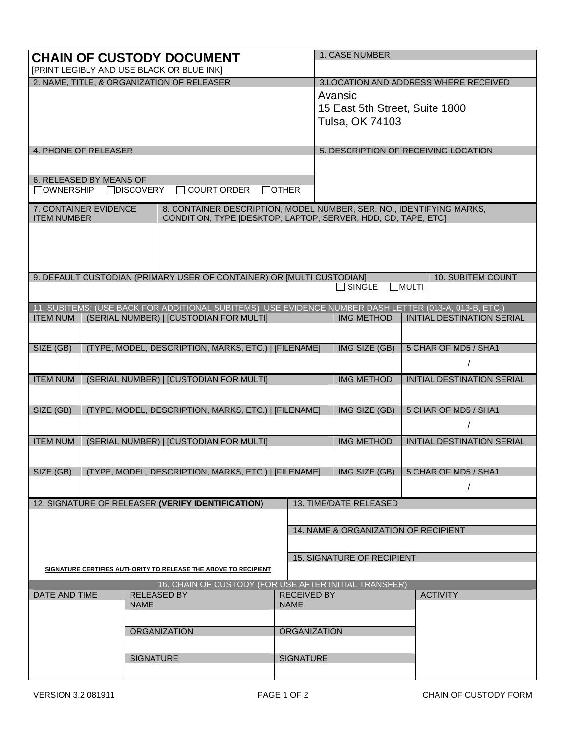|                                                                                                                           |                                                      |                     | <b>CHAIN OF CUSTODY DOCUMENT</b>                                                                      |              | 1. CASE NUMBER                                                                                                |                                                                                                                                       |                                   |                                   |  |
|---------------------------------------------------------------------------------------------------------------------------|------------------------------------------------------|---------------------|-------------------------------------------------------------------------------------------------------|--------------|---------------------------------------------------------------------------------------------------------------|---------------------------------------------------------------------------------------------------------------------------------------|-----------------------------------|-----------------------------------|--|
| [PRINT LEGIBLY AND USE BLACK OR BLUE INK]                                                                                 |                                                      |                     |                                                                                                       |              |                                                                                                               |                                                                                                                                       |                                   |                                   |  |
|                                                                                                                           |                                                      |                     | 2. NAME, TITLE, & ORGANIZATION OF RELEASER                                                            |              | 3. LOCATION AND ADDRESS WHERE RECEIVED<br>Avansic<br>15 East 5th Street, Suite 1800<br><b>Tulsa, OK 74103</b> |                                                                                                                                       |                                   |                                   |  |
| 4. PHONE OF RELEASER                                                                                                      |                                                      |                     |                                                                                                       |              | 5. DESCRIPTION OF RECEIVING LOCATION                                                                          |                                                                                                                                       |                                   |                                   |  |
| 6. RELEASED BY MEANS OF<br>□OWNERSHIP                                                                                     |                                                      | □DISCOVERY          | $\Box$ COURT ORDER                                                                                    | $\Box$ OTHER |                                                                                                               |                                                                                                                                       |                                   |                                   |  |
| 7. CONTAINER EVIDENCE<br><b>ITEM NUMBER</b>                                                                               |                                                      |                     |                                                                                                       |              |                                                                                                               | 8. CONTAINER DESCRIPTION, MODEL NUMBER, SER. NO., IDENTIFYING MARKS,<br>CONDITION, TYPE [DESKTOP, LAPTOP, SERVER, HDD, CD, TAPE, ETC] |                                   |                                   |  |
|                                                                                                                           |                                                      |                     |                                                                                                       |              |                                                                                                               |                                                                                                                                       |                                   |                                   |  |
|                                                                                                                           |                                                      |                     | 9. DEFAULT CUSTODIAN (PRIMARY USER OF CONTAINER) OR [MULTI CUSTODIAN]                                 |              |                                                                                                               | $\square$ SINGLE                                                                                                                      | <b>NULTI</b>                      | 10. SUBITEM COUNT                 |  |
|                                                                                                                           |                                                      |                     | 11. SUBITEMS: (USE BACK FOR ADDITIONAL SUBITEMS) USE EVIDENCE NUMBER DASH LETTER (013-A, 013-B, ETC.) |              |                                                                                                               |                                                                                                                                       |                                   |                                   |  |
| <b>ITEM NUM</b>                                                                                                           |                                                      |                     | (SERIAL NUMBER)   [CUSTODIAN FOR MULTI]                                                               |              |                                                                                                               | <b>IMG METHOD</b>                                                                                                                     |                                   | INITIAL DESTINATION SERIAL        |  |
|                                                                                                                           |                                                      |                     |                                                                                                       |              |                                                                                                               |                                                                                                                                       |                                   |                                   |  |
| SIZE (GB)                                                                                                                 |                                                      |                     | (TYPE, MODEL, DESCRIPTION, MARKS, ETC.)   [FILENAME]                                                  |              |                                                                                                               | IMG SIZE (GB)                                                                                                                         |                                   | 5 CHAR OF MD5 / SHA1              |  |
|                                                                                                                           |                                                      |                     |                                                                                                       |              |                                                                                                               |                                                                                                                                       |                                   | $\prime$                          |  |
| <b>ITEM NUM</b>                                                                                                           |                                                      |                     | (SERIAL NUMBER)   [CUSTODIAN FOR MULTI]                                                               |              | <b>IMG METHOD</b>                                                                                             |                                                                                                                                       | <b>INITIAL DESTINATION SERIAL</b> |                                   |  |
| SIZE (GB)                                                                                                                 | (TYPE, MODEL, DESCRIPTION, MARKS, ETC.)   [FILENAME] |                     |                                                                                                       |              |                                                                                                               |                                                                                                                                       |                                   | 5 CHAR OF MD5 / SHA1              |  |
|                                                                                                                           |                                                      |                     |                                                                                                       |              |                                                                                                               |                                                                                                                                       |                                   |                                   |  |
| <b>ITEM NUM</b>                                                                                                           | (SERIAL NUMBER)   [CUSTODIAN FOR MULTI]              |                     |                                                                                                       |              |                                                                                                               | <b>IMG METHOD</b>                                                                                                                     |                                   | <b>INITIAL DESTINATION SERIAL</b> |  |
| SIZE (GB)                                                                                                                 | (TYPE, MODEL, DESCRIPTION, MARKS, ETC.)   [FILENAME] |                     |                                                                                                       |              |                                                                                                               | IMG SIZE (GB)                                                                                                                         |                                   | 5 CHAR OF MD5 / SHA1              |  |
|                                                                                                                           |                                                      |                     | 12. SIGNATURE OF RELEASER (VERIFY IDENTIFICATION)                                                     |              |                                                                                                               | 13. TIME/DATE RELEASED                                                                                                                |                                   |                                   |  |
|                                                                                                                           |                                                      |                     |                                                                                                       |              |                                                                                                               |                                                                                                                                       |                                   |                                   |  |
|                                                                                                                           |                                                      |                     |                                                                                                       |              |                                                                                                               | 14. NAME & ORGANIZATION OF RECIPIENT                                                                                                  |                                   |                                   |  |
|                                                                                                                           |                                                      |                     |                                                                                                       |              |                                                                                                               | <b>15. SIGNATURE OF RECIPIENT</b>                                                                                                     |                                   |                                   |  |
| SIGNATURE CERTIFIES AUTHORITY TO RELEASE THE ABOVE TO RECIPIENT                                                           |                                                      |                     |                                                                                                       |              |                                                                                                               |                                                                                                                                       |                                   |                                   |  |
| 16. CHAIN OF CUSTODY (FOR USE AFTER INITIAL TRANSFER)<br><b>DATE AND TIME</b><br><b>RELEASED BY</b><br><b>RECEIVED BY</b> |                                                      |                     |                                                                                                       |              |                                                                                                               |                                                                                                                                       |                                   | <b>ACTIVITY</b>                   |  |
| <b>NAME</b>                                                                                                               |                                                      |                     | <b>NAME</b>                                                                                           |              |                                                                                                               |                                                                                                                                       |                                   |                                   |  |
|                                                                                                                           |                                                      |                     |                                                                                                       |              |                                                                                                               |                                                                                                                                       |                                   |                                   |  |
|                                                                                                                           |                                                      | <b>ORGANIZATION</b> |                                                                                                       |              | <b>ORGANIZATION</b>                                                                                           |                                                                                                                                       |                                   |                                   |  |
|                                                                                                                           |                                                      | <b>SIGNATURE</b>    |                                                                                                       |              | <b>SIGNATURE</b>                                                                                              |                                                                                                                                       |                                   |                                   |  |
|                                                                                                                           |                                                      |                     |                                                                                                       |              |                                                                                                               |                                                                                                                                       |                                   |                                   |  |